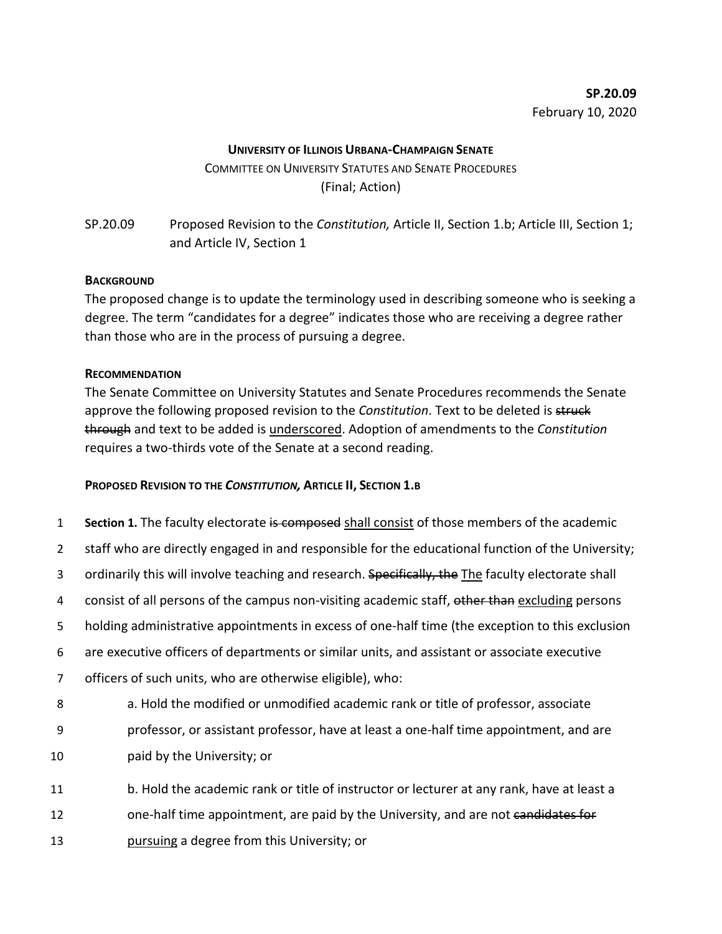## **UNIVERSITY OF ILLINOIS URBANA-CHAMPAIGN SENATE**

COMMITTEE ON UNIVERSITY STATUTES AND SENATE PROCEDURES (Final; Action)

SP.20.09 Proposed Revision to the *Constitution,* Article II, Section 1.b; Article III, Section 1; and Article IV, Section 1

## **BACKGROUND**

The proposed change is to update the terminology used in describing someone who is seeking a degree. The term "candidates for a degree" indicates those who are receiving a degree rather than those who are in the process of pursuing a degree.

## **RECOMMENDATION**

The Senate Committee on University Statutes and Senate Procedures recommends the Senate approve the following proposed revision to the *Constitution*. Text to be deleted is struck through and text to be added is underscored. Adoption of amendments to the *Constitution* requires a two-thirds vote of the Senate at a second reading.

## **PROPOSED REVISION TO THE** *CONSTITUTION,* **ARTICLE II, SECTION 1.B**

- 1 **Section 1.** The faculty electorate is composed shall consist of those members of the academic
- 2 staff who are directly engaged in and responsible for the educational function of the University;
- 3 ordinarily this will involve teaching and research. Specifically, the The faculty electorate shall
- 4 consist of all persons of the campus non-visiting academic staff, other than excluding persons
- 5 holding administrative appointments in excess of one-half time (the exception to this exclusion
- 6 are executive officers of departments or similar units, and assistant or associate executive
- 7 officers of such units, who are otherwise eligible), who:
- 8 a. Hold the modified or unmodified academic rank or title of professor, associate 9 professor, or assistant professor, have at least a one-half time appointment, and are 10 paid by the University; or
- 11 b. Hold the academic rank or title of instructor or lecturer at any rank, have at least a
- 12 one-half time appointment, are paid by the University, and are not candidates for
- 13 pursuing a degree from this University; or